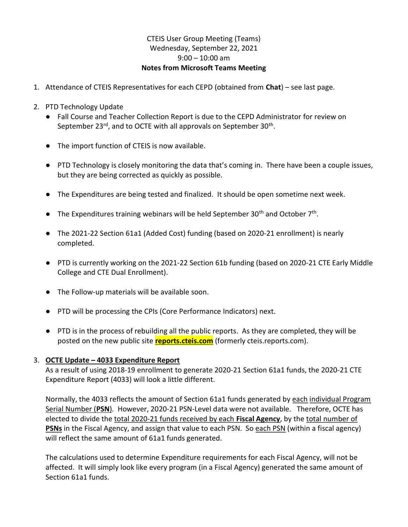## CTEIS User Group Meeting (Teams) Wednesday, September 22, 2021  $9:00 - 10:00$  am Notes from Microsoft Teams Meeting

- 1. Attendance of CTEIS Representatives for each CEPD (obtained from Chat) see last page.
- 2. PTD Technology Update
	- Fall Course and Teacher Collection Report is due to the CEPD Administrator for review on September 23<sup>rd</sup>, and to OCTE with all approvals on September 30<sup>th</sup>.
	- The import function of CTEIS is now available.
	- PTD Technology is closely monitoring the data that's coming in. There have been a couple issues, but they are being corrected as quickly as possible.
	- The Expenditures are being tested and finalized. It should be open sometime next week.
- The Expenditures training webinars will be held September 30<sup>th</sup> and October  $7<sup>th</sup>$ .
	- The 2021-22 Section 61a1 (Added Cost) funding (based on 2020-21 enrollment) is nearly completed.
	- PTD is currently working on the 2021-22 Section 61b funding (based on 2020-21 CTE Early Middle College and CTE Dual Enrollment).
	- The Follow-up materials will be available soon.
	- PTD will be processing the CPIs (Core Performance Indicators) next.
	- PTD is in the process of rebuilding all the public reports. As they are completed, they will be posted on the new public site reports.cteis.com (formerly cteis.reports.com).

## 3. OCTE Update – 4033 Expenditure Report

 As a result of using 2018-19 enrollment to generate 2020-21 Section 61a1 funds, the 2020-21 CTE Expenditure Report (4033) will look a little different.

Normally, the 4033 reflects the amount of Section 61a1 funds generated by each individual Program Serial Number (PSN). However, 2020-21 PSN-Level data were not available. Therefore, OCTE has elected to divide the total 2020-21 funds received by each Fiscal Agency, by the total number of PSNs in the Fiscal Agency, and assign that value to each PSN. So each PSN (within a fiscal agency) will reflect the same amount of 61a1 funds generated.

The calculations used to determine Expenditure requirements for each Fiscal Agency, will not be affected. It will simply look like every program (in a Fiscal Agency) generated the same amount of Section 61a1 funds.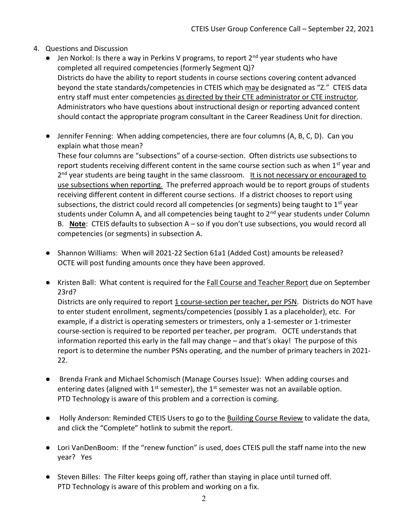- 4. Questions and Discussion
	- $\bullet$  Jen Norkol: Is there a way in Perkins V programs, to report  $2^{nd}$  year students who have completed all required competencies (formerly Segment Q)? Districts do have the ability to report students in course sections covering content advanced beyond the state standards/competencies in CTEIS which may be designated as "Z." CTEIS data entry staff must enter competencies as directed by their CTE administrator or CTE instructor. Administrators who have questions about instructional design or reporting advanced content should contact the appropriate program consultant in the Career Readiness Unit for direction.
	- Jennifer Fenning: When adding competencies, there are four columns (A, B, C, D). Can you explain what those mean?

 These four columns are "subsections" of a course-section. Often districts use subsections to report students receiving different content in the same course section such as when  $1<sup>st</sup>$  year and 2<sup>nd</sup> year students are being taught in the same classroom. It is not necessary or encouraged to use subsections when reporting. The preferred approach would be to report groups of students receiving different content in different course sections. If a district chooses to report using subsections, the district could record all competencies (or segments) being taught to  $1<sup>st</sup>$  year students under Column A, and all competencies being taught to 2<sup>nd</sup> year students under Column B. Note: CTEIS defaults to subsection  $A - so$  if you don't use subsections, you would record all competencies (or segments) in subsection A.

- Shannon Williams: When will 2021-22 Section 61a1 (Added Cost) amounts be released? OCTE will post funding amounts once they have been approved.
- Kristen Ball: What content is required for the Fall Course and Teacher Report due on September 23rd?

 Districts are only required to report 1 course-section per teacher, per PSN. Districts do NOT have to enter student enrollment, segments/competencies (possibly 1 as a placeholder), etc. For example, if a district is operating semesters or trimesters, only a 1-semester or 1-trimester course-section is required to be reported per teacher, per program. OCTE understands that information reported this early in the fall may change – and that's okay! The purpose of this report is to determine the number PSNs operating, and the number of primary teachers in 2021- 22.

- Brenda Frank and Michael Schomisch (Manage Courses Issue): When adding courses and entering dates (aligned with  $1<sup>st</sup>$  semester), the  $1<sup>st</sup>$  semester was not an available option. PTD Technology is aware of this problem and a correction is coming.
- Holly Anderson: Reminded CTEIS Users to go to the Building Course Review to validate the data, and click the "Complete" hotlink to submit the report.
- Lori VanDenBoom: If the "renew function" is used, does CTEIS pull the staff name into the new year? Yes
- Steven Billes: The Filter keeps going off, rather than staying in place until turned off. PTD Technology is aware of this problem and working on a fix.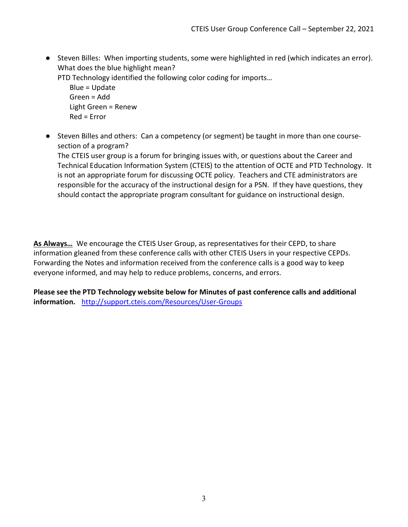● Steven Billes: When importing students, some were highlighted in red (which indicates an error). What does the blue highlight mean?

PTD Technology identified the following color coding for imports…

 Blue = Update Green = Add Light Green = Renew Red = Error

 ● Steven Billes and others: Can a competency (or segment) be taught in more than one coursesection of a program?

 The CTEIS user group is a forum for bringing issues with, or questions about the Career and Technical Education Information System (CTEIS) to the attention of OCTE and PTD Technology. It is not an appropriate forum for discussing OCTE policy. Teachers and CTE administrators are responsible for the accuracy of the instructional design for a PSN. If they have questions, they should contact the appropriate program consultant for guidance on instructional design.

As Always… We encourage the CTEIS User Group, as representatives for their CEPD, to share information gleaned from these conference calls with other CTEIS Users in your respective CEPDs. Forwarding the Notes and information received from the conference calls is a good way to keep everyone informed, and may help to reduce problems, concerns, and errors.

Please see the PTD Technology website below for Minutes of past conference calls and additional information. http://support.cteis.com/Resources/User-Groups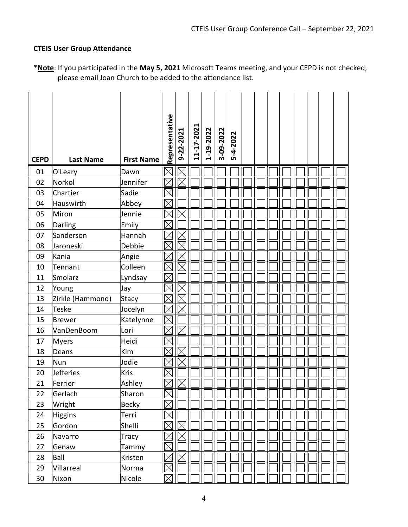## CTEIS User Group Attendance

| *Note: If you participated in the May 5, 2021 Microsoft Teams meeting, and your CEPD is not checked, |  |
|------------------------------------------------------------------------------------------------------|--|
| please email Joan Church to be added to the attendance list.                                         |  |

| <b>CEPD</b> | <b>Last Name</b> | <b>First Name</b> | Representative | 9-22-2021 | 11-17-2021 | 1-19-2022 | 3-09-2022 | 5-4-2022 |  |  |  |  |
|-------------|------------------|-------------------|----------------|-----------|------------|-----------|-----------|----------|--|--|--|--|
| 01          | O'Leary          | Dawn              |                |           |            |           |           |          |  |  |  |  |
| 02          | Norkol           | Jennifer          |                |           |            |           |           |          |  |  |  |  |
| 03          | Chartier         | Sadie             |                |           |            |           |           |          |  |  |  |  |
| 04          | Hauswirth        | Abbey             |                |           |            |           |           |          |  |  |  |  |
| 05          | Miron            | Jennie            |                |           |            |           |           |          |  |  |  |  |
| 06          | Darling          | Emily             |                |           |            |           |           |          |  |  |  |  |
| 07          | Sanderson        | Hannah            |                |           |            |           |           |          |  |  |  |  |
| 08          | Jaroneski        | Debbie            |                |           |            |           |           |          |  |  |  |  |
| 09          | Kania            | Angie             |                |           |            |           |           |          |  |  |  |  |
| 10          | Tennant          | Colleen           |                |           |            |           |           |          |  |  |  |  |
| 11          | Smolarz          | Lyndsay           |                |           |            |           |           |          |  |  |  |  |
| 12          | Young            | Jay               |                |           |            |           |           |          |  |  |  |  |
| 13          | Zirkle (Hammond) | Stacy             |                |           |            |           |           |          |  |  |  |  |
| 14          | Teske            | Jocelyn           |                |           |            |           |           |          |  |  |  |  |
| 15          | Brewer           | Katelynne         |                |           |            |           |           |          |  |  |  |  |
| 16          | VanDenBoom       | Lori              |                |           |            |           |           |          |  |  |  |  |
| 17          | Myers            | Heidi             |                |           |            |           |           |          |  |  |  |  |
| 18          | Deans            | Kim               |                |           |            |           |           |          |  |  |  |  |
| 19          | Nun              | Jodie             |                |           |            |           |           |          |  |  |  |  |
| 20          | <b>Jefferies</b> | Kris              |                |           |            |           |           |          |  |  |  |  |
| 21          | Ferrier          | Ashley            |                |           |            |           |           |          |  |  |  |  |
| 22          | Gerlach          | Sharon            | IXI            |           |            |           |           |          |  |  |  |  |
| 23          | Wright           | <b>Becky</b>      | IХ             |           |            |           |           |          |  |  |  |  |
| 24          | <b>Higgins</b>   | Terri             |                |           |            |           |           |          |  |  |  |  |
| 25          | Gordon           | Shelli            |                |           |            |           |           |          |  |  |  |  |
| 26          | Navarro          | Tracy             |                |           |            |           |           |          |  |  |  |  |
| 27          | Genaw            | Tammy             |                |           |            |           |           |          |  |  |  |  |
| 28          | Ball             | Kristen           |                |           |            |           |           |          |  |  |  |  |
| 29          | Villarreal       | Norma             |                |           |            |           |           |          |  |  |  |  |
| 30          | Nixon            | Nicole            | IX             |           |            |           |           |          |  |  |  |  |